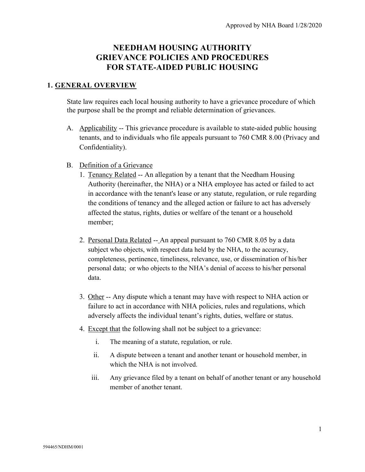# **NEEDHAM HOUSING AUTHORITY GRIEVANCE POLICIES AND PROCEDURES FOR STATE-AIDED PUBLIC HOUSING**

#### **1. GENERAL OVERVIEW**

State law requires each local housing authority to have a grievance procedure of which the purpose shall be the prompt and reliable determination of grievances.

- A. Applicability -- This grievance procedure is available to state-aided public housing tenants, and to individuals who file appeals pursuant to 760 CMR 8.00 (Privacy and Confidentiality).
- B. Definition of a Grievance
	- 1. Tenancy Related -- An allegation by a tenant that the Needham Housing Authority (hereinafter, the NHA) or a NHA employee has acted or failed to act in accordance with the tenant's lease or any statute, regulation, or rule regarding the conditions of tenancy and the alleged action or failure to act has adversely affected the status, rights, duties or welfare of the tenant or a household member;
	- 2. Personal Data Related -- An appeal pursuant to 760 CMR 8.05 by a data subject who objects, with respect data held by the NHA, to the accuracy, completeness, pertinence, timeliness, relevance, use, or dissemination of his/her personal data; or who objects to the NHA's denial of access to his/her personal data.
	- 3. Other -- Any dispute which a tenant may have with respect to NHA action or failure to act in accordance with NHA policies, rules and regulations, which adversely affects the individual tenant's rights, duties, welfare or status.
	- 4. Except that the following shall not be subject to a grievance:
		- i. The meaning of a statute, regulation, or rule.
		- ii. A dispute between a tenant and another tenant or household member, in which the NHA is not involved.
		- iii. Any grievance filed by a tenant on behalf of another tenant or any household member of another tenant.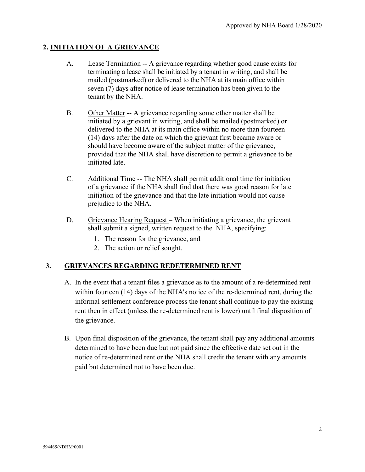## **2. INITIATION OF A GRIEVANCE**

- A. Lease Termination -- A grievance regarding whether good cause exists for terminating a lease shall be initiated by a tenant in writing, and shall be mailed (postmarked) or delivered to the NHA at its main office within seven (7) days after notice of lease termination has been given to the tenant by the NHA.
- B. Other Matter -- A grievance regarding some other matter shall be initiated by a grievant in writing, and shall be mailed (postmarked) or delivered to the NHA at its main office within no more than fourteen (14) days after the date on which the grievant first became aware or should have become aware of the subject matter of the grievance, provided that the NHA shall have discretion to permit a grievance to be initiated late.
- C. Additional Time -- The NHA shall permit additional time for initiation of a grievance if the NHA shall find that there was good reason for late initiation of the grievance and that the late initiation would not cause prejudice to the NHA.
- D. Grievance Hearing Request When initiating a grievance, the grievant shall submit a signed, written request to the NHA, specifying:
	- 1. The reason for the grievance, and
	- 2. The action or relief sought.

### **3. GRIEVANCES REGARDING REDETERMINED RENT**

- A. In the event that a tenant files a grievance as to the amount of a re-determined rent within fourteen (14) days of the NHA's notice of the re-determined rent, during the informal settlement conference process the tenant shall continue to pay the existing rent then in effect (unless the re-determined rent is lower) until final disposition of the grievance.
- B. Upon final disposition of the grievance, the tenant shall pay any additional amounts determined to have been due but not paid since the effective date set out in the notice of re-determined rent or the NHA shall credit the tenant with any amounts paid but determined not to have been due.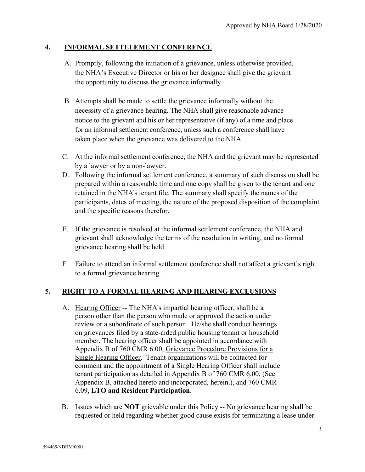#### **4. INFORMAL SETTELEMENT CONFERENCE**

- A. Promptly, following the initiation of a grievance, unless otherwise provided, the NHA's Executive Director or his or her designee shall give the grievant the opportunity to discuss the grievance informally.
- B. Attempts shall be made to settle the grievance informally without the necessity of a grievance hearing. The NHA shall give reasonable advance notice to the grievant and his or her representative (if any) of a time and place for an informal settlement conference, unless such a conference shall have taken place when the grievance was delivered to the NHA.
- C. At the informal settlement conference, the NHA and the grievant may be represented by a lawyer or by a non-lawyer.
- D. Following the informal settlement conference, a summary of such discussion shall be prepared within a reasonable time and one copy shall be given to the tenant and one retained in the NHA's tenant file. The summary shall specify the names of the participants, dates of meeting, the nature of the proposed disposition of the complaint and the specific reasons therefor.
- E. If the grievance is resolved at the informal settlement conference, the NHA and grievant shall acknowledge the terms of the resolution in writing, and no formal grievance hearing shall be held.
- F. Failure to attend an informal settlement conference shall not affect a grievant's right to a formal grievance hearing.

### **5. RIGHT TO A FORMAL HEARING AND HEARING EXCLUSIONS**

- A. Hearing Officer -- The NHA's impartial hearing officer, shall be a person other than the person who made or approved the action under review or a subordinate of such person. He/she shall conduct hearings on grievances filed by a state-aided public housing tenant or household member. The hearing officer shall be appointed in accordance with Appendix B of 760 CMR 6.00, Grievance Procedure Provisions for a Single Hearing Officer. Tenant organizations will be contacted for comment and the appointment of a Single Hearing Officer shall include tenant participation as detailed in Appendix B of 760 CMR 6.00, (See Appendix B, attached hereto and incorporated, herein.), and 760 CMR 6.09, **LTO and Resident Participation**.
- B. Issues which are **NOT** grievable under this Policy -- No grievance hearing shall be requested or held regarding whether good cause exists for terminating a lease under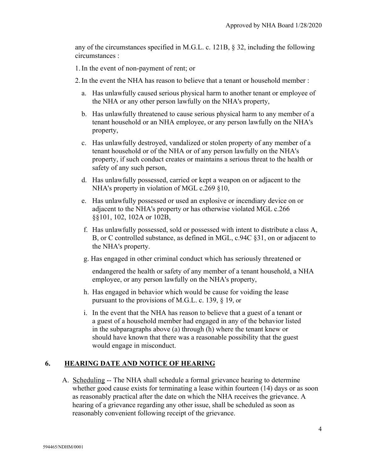any of the circumstances specified in M.G.L. c. 121B, § 32, including the following circumstances :

1.In the event of non-payment of rent; or

- 2.In the event the NHA has reason to believe that a tenant or household member :
	- a. Has unlawfully caused serious physical harm to another tenant or employee of the NHA or any other person lawfully on the NHA's property,
	- b. Has unlawfully threatened to cause serious physical harm to any member of a tenant household or an NHA employee, or any person lawfully on the NHA's property,
	- c. Has unlawfully destroyed, vandalized or stolen property of any member of a tenant household or of the NHA or of any person lawfully on the NHA's property, if such conduct creates or maintains a serious threat to the health or safety of any such person,
	- d. Has unlawfully possessed, carried or kept a weapon on or adjacent to the NHA's property in violation of MGL c.269 §10,
	- e. Has unlawfully possessed or used an explosive or incendiary device on or adjacent to the NHA's property or has otherwise violated MGL c.266 §§101, 102, 102A or 102B,
	- f. Has unlawfully possessed, sold or possessed with intent to distribute a class A, B, or C controlled substance, as defined in MGL, c.94C §31, on or adjacent to the NHA's property.
	- g. Has engaged in other criminal conduct which has seriously threatened or

endangered the health or safety of any member of a tenant household, a NHA employee, or any person lawfully on the NHA's property,

- h. Has engaged in behavior which would be cause for voiding the lease pursuant to the provisions of M.G.L. c. 139, § 19, or
- i. In the event that the NHA has reason to believe that a guest of a tenant or a guest of a household member had engaged in any of the behavior listed in the subparagraphs above (a) through (h) where the tenant knew or should have known that there was a reasonable possibility that the guest would engage in misconduct.

#### **6. HEARING DATE AND NOTICE OF HEARING**

A. Scheduling -- The NHA shall schedule a formal grievance hearing to determine whether good cause exists for terminating a lease within fourteen (14) days or as soon as reasonably practical after the date on which the NHA receives the grievance. A hearing of a grievance regarding any other issue, shall be scheduled as soon as reasonably convenient following receipt of the grievance.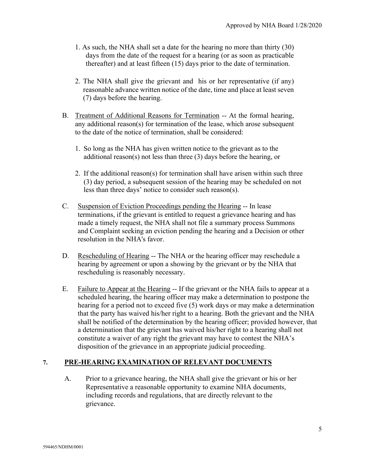- 1. As such, the NHA shall set a date for the hearing no more than thirty (30) days from the date of the request for a hearing (or as soon as practicable thereafter) and at least fifteen (15) days prior to the date of termination.
- 2. The NHA shall give the grievant and his or her representative (if any) reasonable advance written notice of the date, time and place at least seven (7) days before the hearing.
- B. Treatment of Additional Reasons for Termination -- At the formal hearing, any additional reason(s) for termination of the lease, which arose subsequent to the date of the notice of termination, shall be considered:
	- 1. So long as the NHA has given written notice to the grievant as to the additional reason(s) not less than three (3) days before the hearing, or
	- 2. If the additional reason(s) for termination shall have arisen within such three (3) day period, a subsequent session of the hearing may be scheduled on not less than three days' notice to consider such reason(s).
- C. Suspension of Eviction Proceedings pending the Hearing -- In lease terminations, if the grievant is entitled to request a grievance hearing and has made a timely request, the NHA shall not file a summary process Summons and Complaint seeking an eviction pending the hearing and a Decision or other resolution in the NHA's favor.
- D. Rescheduling of Hearing -- The NHA or the hearing officer may reschedule a hearing by agreement or upon a showing by the grievant or by the NHA that rescheduling is reasonably necessary.
- E. Failure to Appear at the Hearing -- If the grievant or the NHA fails to appear at a scheduled hearing, the hearing officer may make a determination to postpone the hearing for a period not to exceed five (5) work days or may make a determination that the party has waived his/her right to a hearing. Both the grievant and the NHA shall be notified of the determination by the hearing officer; provided however, that a determination that the grievant has waived his/her right to a hearing shall not constitute a waiver of any right the grievant may have to contest the NHA's disposition of the grievance in an appropriate judicial proceeding.

#### **7. PRE-HEARING EXAMINATION OF RELEVANT DOCUMENTS**

A. Prior to a grievance hearing, the NHA shall give the grievant or his or her Representative a reasonable opportunity to examine NHA documents, including records and regulations, that are directly relevant to the grievance.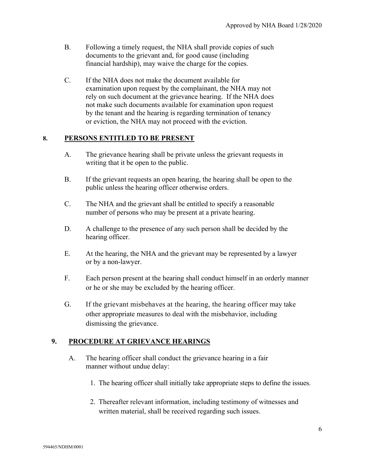- B. Following a timely request, the NHA shall provide copies of such documents to the grievant and, for good cause (including financial hardship), may waive the charge for the copies.
- C. If the NHA does not make the document available for examination upon request by the complainant, the NHA may not rely on such document at the grievance hearing. If the NHA does not make such documents available for examination upon request by the tenant and the hearing is regarding termination of tenancy or eviction, the NHA may not proceed with the eviction.

#### **8. PERSONS ENTITLED TO BE PRESENT**

- A. The grievance hearing shall be private unless the grievant requests in writing that it be open to the public.
- B. If the grievant requests an open hearing, the hearing shall be open to the public unless the hearing officer otherwise orders.
- C. The NHA and the grievant shall be entitled to specify a reasonable number of persons who may be present at a private hearing.
- D. A challenge to the presence of any such person shall be decided by the hearing officer.
- E. At the hearing, the NHA and the grievant may be represented by a lawyer or by a non-lawyer.
- F. Each person present at the hearing shall conduct himself in an orderly manner or he or she may be excluded by the hearing officer.
- G. If the grievant misbehaves at the hearing, the hearing officer may take other appropriate measures to deal with the misbehavior, including dismissing the grievance.

### **9. PROCEDURE AT GRIEVANCE HEARINGS**

- A. The hearing officer shall conduct the grievance hearing in a fair manner without undue delay:
	- 1. The hearing officer shall initially take appropriate steps to define the issues.
	- 2. Thereafter relevant information, including testimony of witnesses and written material, shall be received regarding such issues.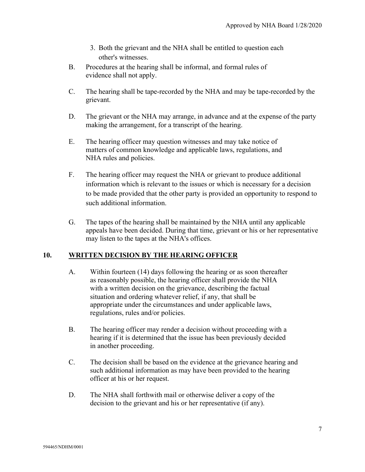- 3. Both the grievant and the NHA shall be entitled to question each other's witnesses.
- B. Procedures at the hearing shall be informal, and formal rules of evidence shall not apply.
- C. The hearing shall be tape-recorded by the NHA and may be tape-recorded by the grievant.
- D. The grievant or the NHA may arrange, in advance and at the expense of the party making the arrangement, for a transcript of the hearing.
- E. The hearing officer may question witnesses and may take notice of matters of common knowledge and applicable laws, regulations, and NHA rules and policies.
- F. The hearing officer may request the NHA or grievant to produce additional information which is relevant to the issues or which is necessary for a decision to be made provided that the other party is provided an opportunity to respond to such additional information.
- G. The tapes of the hearing shall be maintained by the NHA until any applicable appeals have been decided. During that time, grievant or his or her representative may listen to the tapes at the NHA's offices.

# **10. WRITTEN DECISION BY THE HEARING OFFICER**

- A. Within fourteen (14) days following the hearing or as soon thereafter as reasonably possible, the hearing officer shall provide the NHA with a written decision on the grievance, describing the factual situation and ordering whatever relief, if any, that shall be appropriate under the circumstances and under applicable laws, regulations, rules and/or policies.
- B. The hearing officer may render a decision without proceeding with a hearing if it is determined that the issue has been previously decided in another proceeding.
- C. The decision shall be based on the evidence at the grievance hearing and such additional information as may have been provided to the hearing officer at his or her request.
- D. The NHA shall forthwith mail or otherwise deliver a copy of the decision to the grievant and his or her representative (if any).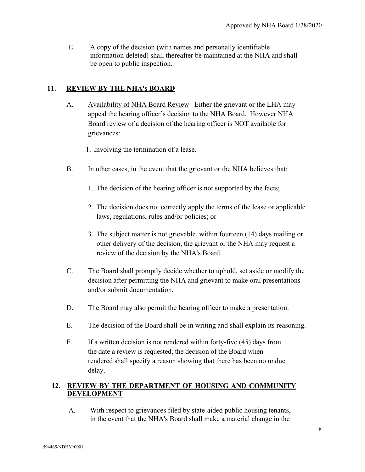E. A copy of the decision (with names and personally identifiable information deleted) shall thereafter be maintained at the NHA and shall be open to public inspection.

## **11. REVIEW BY THE NHA's BOARD**

- A. Availability of NHA Board Review Either the grievant or the LHA may appeal the hearing officer's decision to the NHA Board. However NHA Board review of a decision of the hearing officer is NOT available for grievances:
	- 1. Involving the termination of a lease.
- B. In other cases, in the event that the grievant or the NHA believes that:
	- 1. The decision of the hearing officer is not supported by the facts;
	- 2. The decision does not correctly apply the terms of the lease or applicable laws, regulations, rules and/or policies; or
	- 3. The subject matter is not grievable, within fourteen (14) days mailing or other delivery of the decision, the grievant or the NHA may request a review of the decision by the NHA's Board.
- C. The Board shall promptly decide whether to uphold, set aside or modify the decision after permitting the NHA and grievant to make oral presentations and/or submit documentation.
- D. The Board may also permit the hearing officer to make a presentation.
- E. The decision of the Board shall be in writing and shall explain its reasoning.
- F. If a written decision is not rendered within forty-five (45) days from the date a review is requested, the decision of the Board when rendered shall specify a reason showing that there has been no undue delay.

## **12. REVIEW BY THE DEPARTMENT OF HOUSING AND COMMUNITY DEVELOPMENT**

A. With respect to grievances filed by state-aided public housing tenants, in the event that the NHA's Board shall make a material change in the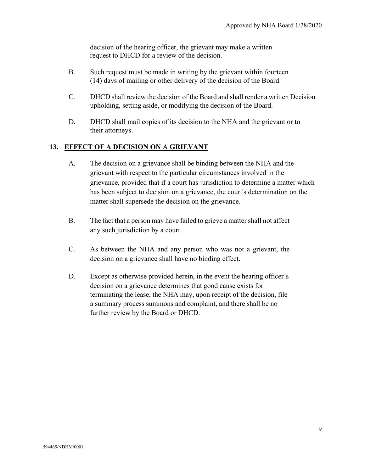decision of the hearing officer, the grievant may make a written request to DHCD for a review of the decision.

- B. Such request must be made in writing by the grievant within fourteen (14) days of mailing or other delivery of the decision of the Board.
- C. DHCD shall review the decision of the Board and shall render a written Decision upholding, setting aside, or modifying the decision of the Board.
- D. DHCD shall mail copies of its decision to the NHA and the grievant or to their attorneys.

# **13. EFFECT OF A DECISION ON** A **GRIEVANT**

- A. The decision on a grievance shall be binding between the NHA and the grievant with respect to the particular circumstances involved in the grievance, provided that if a court has jurisdiction to determine a matter which has been subject to decision on a grievance, the court's determination on the matter shall supersede the decision on the grievance.
- B. The fact that a person may have failed to grieve a matter shall not affect any such jurisdiction by a court.
- C. As between the NHA and any person who was not a grievant, the decision on a grievance shall have no binding effect.
- D. Except as otherwise provided herein, in the event the hearing officer's decision on a grievance determines that good cause exists for terminating the lease, the NHA may, upon receipt of the decision, file a summary process summons and complaint, and there shall be no further review by the Board or DHCD.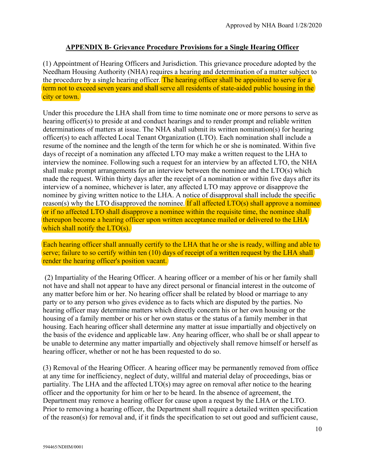#### **APPENDIX B- Grievance Procedure Provisions for a Single Hearing Officer**

(1) Appointment of Hearing Officers and Jurisdiction. This grievance procedure adopted by the Needham Housing Authority (NHA) requires a hearing and determination of a matter subject to the procedure by a single hearing officer. The hearing officer shall be appointed to serve for a term not to exceed seven years and shall serve all residents of state-aided public housing in the city or town.

Under this procedure the LHA shall from time to time nominate one or more persons to serve as hearing officer(s) to preside at and conduct hearings and to render prompt and reliable written determinations of matters at issue. The NHA shall submit its written nomination(s) for hearing officer(s) to each affected Local Tenant Organization (LTO). Each nomination shall include a resume of the nominee and the length of the term for which he or she is nominated. Within five days of receipt of a nomination any affected LTO may make a written request to the LHA to interview the nominee. Following such a request for an interview by an affected LTO, the NHA shall make prompt arrangements for an interview between the nominee and the LTO(s) which made the request. Within thirty days after the receipt of a nomination or within five days after its interview of a nominee, whichever is later, any affected LTO may approve or disapprove the nominee by giving written notice to the LHA. A notice of disapproval shall include the specific reason(s) why the LTO disapproved the nominee. If all affected  $\text{LTO}(s)$  shall approve a nominee or if no affected LTO shall disapprove a nominee within the requisite time, the nominee shall thereupon become a hearing officer upon written acceptance mailed or delivered to the LHA which shall notify the LTO(s).

Each hearing officer shall annually certify to the LHA that he or she is ready, willing and able to serve; failure to so certify within ten (10) days of receipt of a written request by the LHA shall render the hearing officer's position vacant.

(2) Impartiality of the Hearing Officer. A hearing officer or a member of his or her family shall not have and shall not appear to have any direct personal or financial interest in the outcome of any matter before him or her. No hearing officer shall be related by blood or marriage to any party or to any person who gives evidence as to facts which are disputed by the parties. No hearing officer may determine matters which directly concern his or her own housing or the housing of a family member or his or her own status or the status of a family member in that housing. Each hearing officer shall determine any matter at issue impartially and objectively on the basis of the evidence and applicable law. Any hearing officer, who shall be or shall appear to be unable to determine any matter impartially and objectively shall remove himself or herself as hearing officer, whether or not he has been requested to do so.

(3) Removal of the Hearing Officer. A hearing officer may be permanently removed from office at any time for inefficiency, neglect of duty, willful and material delay of proceedings, bias or partiality. The LHA and the affected LTO(s) may agree on removal after notice to the hearing officer and the opportunity for him or her to be heard. In the absence of agreement, the Department may remove a hearing officer for cause upon a request by the LHA or the LTO. Prior to removing a hearing officer, the Department shall require a detailed written specification of the reason(s) for removal and, if it finds the specification to set out good and sufficient cause,